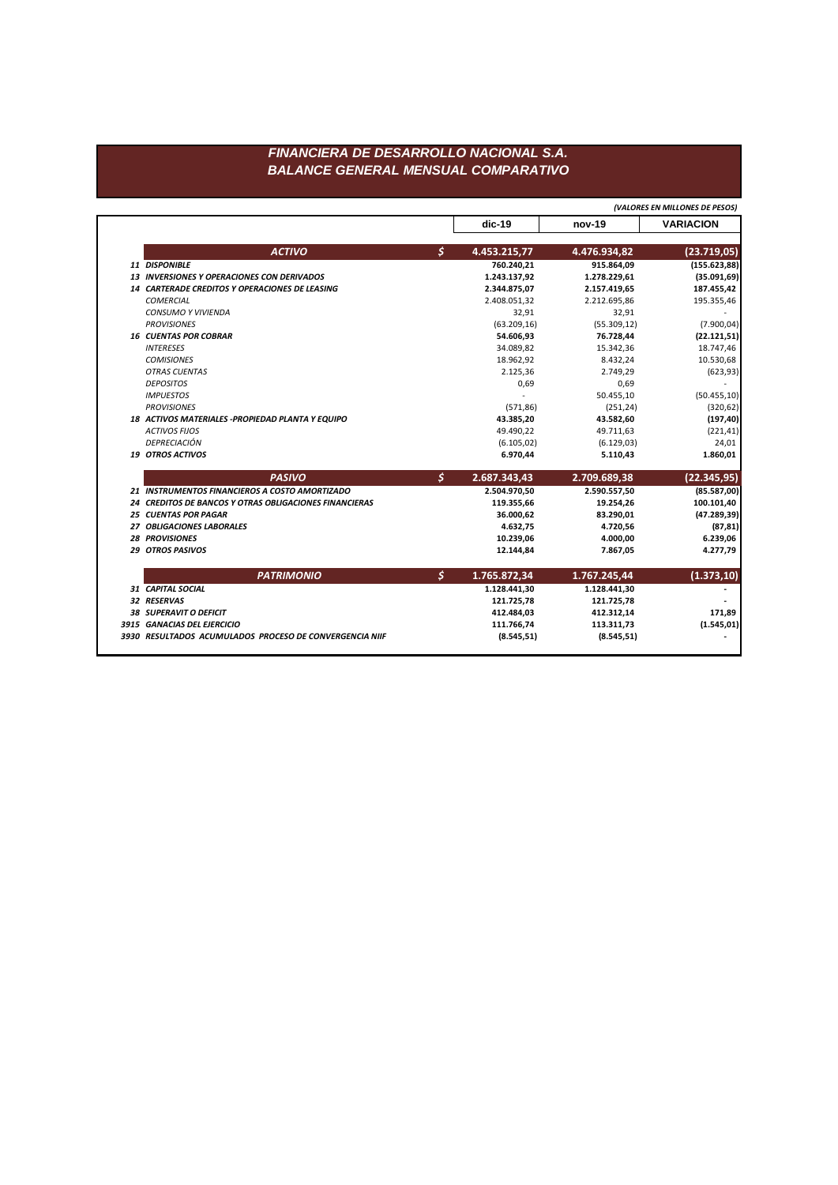## *FINANCIERA DE DESARROLLO NACIONAL S.A. BALANCE GENERAL MENSUAL COMPARATIVO*

|                                                               |    | (VALORES EN MILLONES DE PESOS) |              |                  |  |
|---------------------------------------------------------------|----|--------------------------------|--------------|------------------|--|
|                                                               |    | $dic-19$                       | $nov-19$     | <b>VARIACION</b> |  |
| <b>ACTIVO</b>                                                 | \$ | 4.453.215,77                   | 4.476.934,82 | (23.719, 05)     |  |
| 11 DISPONIBLE                                                 |    | 760.240,21                     | 915.864,09   | (155.623, 88)    |  |
| <b>13 INVERSIONES Y OPERACIONES CON DERIVADOS</b>             |    | 1.243.137,92                   | 1.278.229,61 | (35.091, 69)     |  |
| <b>14 CARTERADE CREDITOS Y OPERACIONES DE LEASING</b>         |    | 2.344.875,07                   | 2.157.419,65 | 187.455,42       |  |
| <b>COMERCIAL</b>                                              |    | 2.408.051,32                   | 2.212.695,86 | 195.355,46       |  |
| CONSUMO Y VIVIENDA                                            |    | 32,91                          | 32,91        |                  |  |
| <b>PROVISIONES</b>                                            |    | (63.209, 16)                   | (55.309, 12) | (7.900, 04)      |  |
| <b>16 CUENTAS POR COBRAR</b>                                  |    | 54.606,93                      | 76.728,44    | (22.121,51)      |  |
| <b>INTERESES</b>                                              |    | 34.089,82                      | 15.342,36    | 18.747,46        |  |
| <b>COMISIONES</b>                                             |    | 18.962,92                      | 8.432,24     | 10.530,68        |  |
| <b>OTRAS CUENTAS</b>                                          |    | 2.125,36                       | 2.749,29     | (623, 93)        |  |
| <b>DEPOSITOS</b>                                              |    | 0,69                           | 0,69         |                  |  |
| <b>IMPUESTOS</b>                                              |    |                                | 50.455,10    | (50.455, 10)     |  |
| <b>PROVISIONES</b>                                            |    | (571, 86)                      | (251, 24)    | (320, 62)        |  |
| 18 ACTIVOS MATERIALES -PROPIEDAD PLANTA Y EQUIPO              |    | 43.385,20                      | 43.582,60    | (197, 40)        |  |
| <b>ACTIVOS FIJOS</b>                                          |    | 49.490,22                      | 49.711,63    | (221, 41)        |  |
| DEPRECIACIÓN                                                  |    | (6.105, 02)                    | (6.129, 03)  | 24,01            |  |
| <b>19 OTROS ACTIVOS</b>                                       |    | 6.970,44                       | 5.110,43     | 1.860,01         |  |
| <b>PASIVO</b>                                                 | Š. | 2.687.343,43                   | 2.709.689,38 | (22.345, 95)     |  |
| 21 INSTRUMENTOS FINANCIEROS A COSTO AMORTIZADO                |    | 2.504.970,50                   | 2.590.557,50 | (85.587,00)      |  |
| <b>24 CREDITOS DE BANCOS Y OTRAS OBLIGACIONES FINANCIERAS</b> |    | 119.355,66                     | 19.254,26    | 100.101,40       |  |
| <b>25 CUENTAS POR PAGAR</b>                                   |    | 36.000,62                      | 83.290,01    | (47.289, 39)     |  |
| 27 OBLIGACIONES LABORALES                                     |    | 4.632,75                       | 4.720,56     | (87, 81)         |  |
| <b>28 PROVISIONES</b>                                         |    | 10.239,06                      | 4.000,00     | 6.239,06         |  |
| 29 OTROS PASIVOS                                              |    | 12.144,84                      | 7.867,05     | 4.277,79         |  |
| <b>PATRIMONIO</b>                                             | \$ | 1.765.872,34                   | 1.767.245,44 | (1.373, 10)      |  |
| 31 CAPITAL SOCIAL                                             |    | 1.128.441,30                   | 1.128.441,30 |                  |  |
| <b>32 RESERVAS</b>                                            |    | 121.725,78                     | 121.725,78   |                  |  |
| <b>38 SUPERAVIT O DEFICIT</b>                                 |    | 412.484,03                     | 412.312,14   | 171,89           |  |
| 3915 GANACIAS DEL EJERCICIO                                   |    | 111.766,74                     | 113.311,73   | (1.545, 01)      |  |
|                                                               |    |                                |              |                  |  |